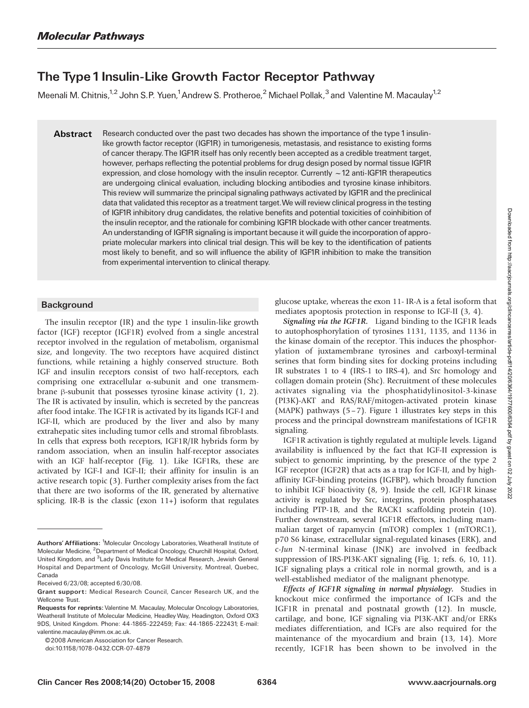# The Type 1 Insulin-Like Growth Factor Receptor Pathway

Meenali M. Chitnis,<sup>1,2</sup> John S.P. Yuen,<sup>1</sup> Andrew S. Protheroe,<sup>2</sup> Michael Pollak,<sup>3</sup> and Valentine M. Macaulay<sup>1,2</sup>

**Abstract** Research conducted over the past two decades has shown the importance of the type 1 insulinlike growth factor receptor (IGF1R) in tumorigenesis, metastasis, and resistance to existing forms of cancer therapy.The IGF1R itself has only recently been accepted as a credible treatment target, however, perhaps reflecting the potential problems for drug design posed by normal tissue IGF1R expression, and close homology with the insulin receptor. Currently  $\sim$  12 anti-IGF1R therapeutics are undergoing clinical evaluation, including blocking antibodies and tyrosine kinase inhibitors. This review will summarize the principal signaling pathways activated by IGF1R and the preclinical data that validated this receptor as a treatment target.We will review clinical progress in the testing of IGF1R inhibitory drug candidates, the relative benefits and potential toxicities of coinhibition of the insulin receptor, and the rationale for combining IGF1R blockade with other cancer treatments. An understanding of IGF1R signaling is important because it will guide the incorporation of appropriate molecular markers into clinical trial design. This will be key to the identification of patients most likely to benefit, and so will influence the ability of IGF1R inhibition to make the transition from experimental intervention to clinical therapy.

## **Background**

The insulin receptor (IR) and the type 1 insulin-like growth factor (IGF) receptor (IGF1R) evolved from a single ancestral receptor involved in the regulation of metabolism, organismal size, and longevity. The two receptors have acquired distinct functions, while retaining a highly conserved structure. Both IGF and insulin receptors consist of two half-receptors, each comprising one extracellular  $\alpha$ -subunit and one transmembrane  $\beta$ -subunit that possesses tyrosine kinase activity  $(1, 2)$ . The IR is activated by insulin, which is secreted by the pancreas after food intake. The IGF1R is activated by its ligands IGF-I and IGF-II, which are produced by the liver and also by many extrahepatic sites including tumor cells and stromal fibroblasts. In cells that express both receptors, IGF1R/IR hybrids form by random association, when an insulin half-receptor associates with an IGF half-receptor (Fig. 1). Like IGF1Rs, these are activated by IGF-I and IGF-II; their affinity for insulin is an active research topic (3). Further complexity arises from the fact that there are two isoforms of the IR, generated by alternative splicing. IR-B is the classic (exon 11+) isoform that regulates

© 2008 American Association for Cancer Research.

glucose uptake, whereas the exon 11- IR-A is a fetal isoform that mediates apoptosis protection in response to IGF-II (3,4).

Signaling via the IGF1R. Ligand binding to the IGF1R leads to autophosphorylation of tyrosines 1131, 1135, and 1136 in the kinase domain of the receptor. This induces the phosphorylation of juxtamembrane tyrosines and carboxyl-terminal serines that form binding sites for docking proteins including IR substrates 1 to 4 (IRS-1 to IRS-4), and Src homology and collagen domain protein (Shc). Recruitment of these molecules activates signaling via the phosphatidylinositol-3-kinase (PI3K)-AKT and RAS/RAF/mitogen-activated protein kinase (MAPK) pathways  $(5-7)$ . Figure 1 illustrates key steps in this process and the principal downstream manifestations of IGF1R signaling.

IGF1R activation is tightly regulated at multiple levels. Ligand availability is influenced by the fact that IGF-II expression is subject to genomic imprinting, by the presence of the type 2 IGF receptor (IGF2R) that acts as a trap for IGF-II, and by highaffinity IGF-binding proteins (IGFBP), which broadly function to inhibit IGF bioactivity (8, 9). Inside the cell, IGF1R kinase activity is regulated by Src, integrins, protein phosphatases including PTP-1B, and the RACK1 scaffolding protein (10). Further downstream, several IGF1R effectors, including mammalian target of rapamycin (mTOR) complex 1 (mTORC1), p70 S6 kinase, extracellular signal-regulated kinases (ERK), and c-Jun N-terminal kinase (JNK) are involved in feedback suppression of IRS-PI3K-AKT signaling (Fig. 1; refs. 6, 10, 11). IGF signaling plays a critical role in normal growth, and is a well-established mediator of the malignant phenotype.

Effects of IGF1R signaling in normal physiology. Studies in knockout mice confirmed the importance of IGFs and the IGF1R in prenatal and postnatal growth (12). In muscle, cartilage, and bone, IGF signaling via PI3K-AKT and/or ERKs mediates differentiation, and IGFs are also required for the maintenance of the myocardium and brain (13,14). More recently, IGF1R has been shown to be involved in the

Authors' Affiliations: <sup>1</sup>Molecular Oncology Laboratories, Weatherall Institute of Molecular Medicine, <sup>2</sup>Department of Medical Oncology, Churchill Hospital, Oxford, United Kingdom, and <sup>3</sup> Lady Davis Institute for Medical Research, Jewish General Hospital and Department of Oncology, McGill University, Montreal, Quebec, Canada

Received 6/23/08; accepted 6/30/08.

Grant support: Medical Research Council, Cancer Research UK, and the Wellcome Trust.

Requests for reprints: Valentine M. Macaulay, Molecular Oncology Laboratories, Weatherall Institute of Molecular Medicine, Headley Way, Headington, Oxford OX3 9DS, United Kingdom. Phone: 44-1865-222459; Fax: 44-1865-222431; E-mail: valentine.macaulay@imm.ox.ac.uk.

doi:10.1158/1078-0432.CCR-07-4879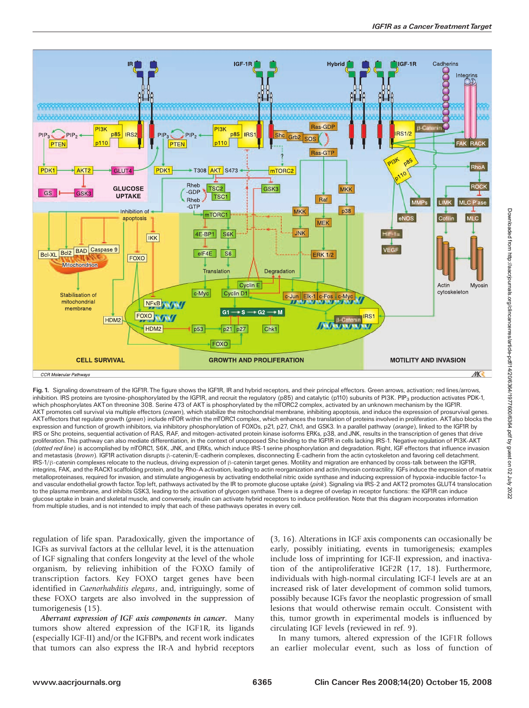

Fig. 1. Signaling downstream of the IGF1R. The figure shows the IGF1R, IR and hybrid receptors, and their principal effectors. Green arrows, activation; red lines/arrows, inhibition. IRS proteins are tyrosine-phosphorylated by the IGF1R, and recruit the regulatory (p85) and catalytic (p110) subunits of PI3K. PIP<sub>3</sub> production activates PDK-1, which phosphorylates AKTon threonine 308. Serine 473 of AKT is phosphorylated by the mTORC2 complex, activated by an unknown mechanism by the IGF1R. AKT promotes cell survival via multiple effectors (cream), which stabilize the mitochondrial membrane, inhibiting apoptosis, and induce the expression of prosurvival genes. AKTeffectors that regulate growth (green) include mTOR within the mTORC1 complex, which enhances the translation of proteins involved in proliferation. AKTalso blocks the expression and function of growth inhibitors, via inhibitory phosphorylation of FOXOs, p21, p27, Chk1, and GSK3. In a parallel pathway (orange), linked to the IGF1R by IRS or Shc proteins, sequential activation of RAS, RAF, and mitogen-activated protein kinase isoforms ERKs, p38, and JNK, results in the transcription of genes that drive proliferation. This pathway can also mediate differentiation, in the context of unopposed Shc binding to the IGF1R in cells lacking IRS-1. Negative regulation of PI3K-AKT (dotted red line) is accomplished by mTORC1, S6K, JNK, and ERKs, which induce IRS-1 serine phosphorylation and degradation. Right, IGF effectors that influence invasion and metastasis (brown). IGF1R activation disrupts  $\beta$ -catenin/E-cadherin complexes, disconnecting E-cadherin from the actin cytoskeleton and favoring cell detachment. IRS-1/ $\beta$ -catenin complexes relocate to the nucleus, driving expression of  $\beta$ -catenin target genes. Motility and migration are enhanced by cross-talk between the IGF1R, integrins, FAK, and the RACK1scaffolding protein, and by Rho-A activation, leading to actin reorganization and actin/myosin contractility. IGFs induce the expression of matrix metalloproteinases, required for invasion, and stimulate angiogenesis by activating endothelial nitric oxide synthase and inducing expression of hypoxia-inducible factor-1 $\alpha$ and vascular endothelial growth factor. Top left, pathways activated by the IR to promote glucose uptake (pink). Signaling via IRS-2 and AKT2 promotes GLUT4 translocation to the plasma membrane, and inhibits GSK3, leading to the activation of glycogen synthase. There is a degree of overlap in receptor functions: the IGF1R can induce glucose uptake in brain and skeletal muscle, and conversely, insulin can activate hybrid receptors to induce proliferation. Note that this diagram incorporates information from multiple studies, and is not intended to imply that each of these pathways operates in every cell.

regulation of life span. Paradoxically, given the importance of IGFs as survival factors at the cellular level, it is the attenuation of IGF signaling that confers longevity at the level of the whole organism,by relieving inhibition of the FOXO family of transcription factors. Key FOXO target genes have been identified in Caenorhabditis elegans, and, intriguingly, some of these FOXO targets are also involved in the suppression of tumorigenesis (15).

Aberrant expression of IGF axis components in cancer. Many tumors show altered expression of the IGF1R, its ligands (especially IGF-II) and/or the IGFBPs, and recent work indicates that tumors can also express the IR-A and hybrid receptors (3,16). Alterations in IGF axis components can occasionally be early, possibly initiating, events in tumorigenesis; examples include loss of imprinting for IGF-II expression, and inactivation of the antiproliferative IGF2R (17,18). Furthermore, individuals with high-normal circulating IGF-I levels are at an increased risk of later development of common solid tumors, possibly because IGFs favor the neoplastic progression of small lesions that would otherwise remain occult. Consistent with this, tumor growth in experimental models is influenced by circulating IGF levels (reviewed in ref. 9).

In many tumors, altered expression of the IGF1R follows an earlier molecular event, such as loss of function of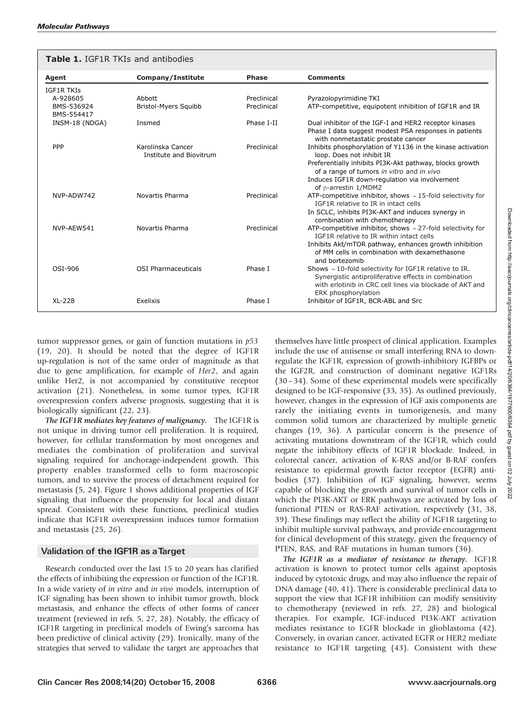## Table 1. IGF1R TKIs and antibodies

|                | Company/Institute                            | <b>Phase</b> | <b>Comments</b>                                                                                             |
|----------------|----------------------------------------------|--------------|-------------------------------------------------------------------------------------------------------------|
| Agent          |                                              |              |                                                                                                             |
| IGF1R TKIs     |                                              |              |                                                                                                             |
| A-928605       | Ahhott                                       | Preclinical  | Pyrazolopyrimidine TKI                                                                                      |
| BMS-536924     | <b>Bristol-Myers Squibb</b>                  | Preclinical  | ATP-competitive, equipotent inhibition of IGF1R and IR                                                      |
| BMS-554417     |                                              |              |                                                                                                             |
| INSM-18 (NDGA) | Insmed                                       | Phase I-II   | Dual inhibitor of the IGF-I and HER2 receptor kinases                                                       |
|                |                                              |              | Phase I data suggest modest PSA responses in patients<br>with nonmetastatic prostate cancer                 |
| PPP            | Karolinska Cancer<br>Institute and Biovitrum | Preclinical  | Inhibits phosphorylation of Y1136 in the kinase activation<br>loop. Does not inhibit IR                     |
|                |                                              |              | Preferentially inhibits PI3K-Akt pathway, blocks growth<br>of a range of tumors in vitro and in vivo        |
|                |                                              |              | Induces IGF1R down-regulation via involvement                                                               |
|                |                                              |              | of <b>ß-arrestin 1/MDM2</b>                                                                                 |
| NVP-ADW742     | Novartis Pharma                              | Preclinical  | ATP-competitive inhibitor, shows $\sim$ 15-fold selectivity for<br>IGF1R relative to IR in intact cells     |
|                |                                              |              | In SCLC, inhibits PI3K-AKT and induces synergy in<br>combination with chemotherapy                          |
| NVP-AEW541     | Novartis Pharma                              | Preclinical  | ATP-competitive inhibitor, shows $\sim$ 27-fold selectivity for<br>IGF1R relative to IR within intact cells |
|                |                                              |              | Inhibits Akt/mTOR pathway, enhances growth inhibition                                                       |
|                |                                              |              | of MM cells in combination with dexamethasone<br>and bortezomib                                             |
| OSI-906        | OSI Pharmaceuticals                          | Phase I      | Shows $\sim$ 10-fold selectivity for IGF1R relative to IR.                                                  |
|                |                                              |              | Synergistic antiproliferative effects in combination                                                        |
|                |                                              |              | with erlotinib in CRC cell lines via blockade of AKT and<br>ERK phosphorylation                             |
| <b>XL-228</b>  | Exelixis                                     | Phase I      | Inhibitor of IGF1R, BCR-ABL and Src                                                                         |
|                |                                              |              |                                                                                                             |

tumor suppressor genes, or gain of function mutations in  $p53$ (19, 20). It should be noted that the degree of IGF1R up-regulation is not of the same order of magnitude as that due to gene amplification, for example of Her2, and again unlike Her2, is not accompanied by constitutive receptor activation (21). Nonetheless, in some tumor types, IGF1R overexpression confers adverse prognosis, suggesting that it is biologically significant (22,23).

The IGF1R mediates key features of malignancy. The IGF1R is not unique in driving tumor cell proliferation. It is required, however, for cellular transformation by most oncogenes and mediates the combination of proliferation and survival signaling required for anchorage-independent growth. This property enables transformed cells to form macroscopic tumors, and to survive the process of detachment required for metastasis (5,24). Figure 1 shows additional properties of IGF signaling that influence the propensity for local and distant spread. Consistent with these functions, preclinical studies indicate that IGF1R overexpression induces tumor formation and metastasis (25,26).

## Validation of the IGF1R as a Target

Research conducted over the last 15 to 20 years has clarified the effects of inhibiting the expression or function of the IGF1R. In a wide variety of in vitro and in vivo models, interruption of IGF signaling has been shown to inhibit tumor growth, block metastasis, and enhance the effects of other forms of cancer treatment (reviewed in refs. 5, 27, 28). Notably, the efficacy of IGF1R targeting in preclinical models of Ewing's sarcoma has been predictive of clinical activity (29). Ironically, many of the strategies that served to validate the target are approaches that themselves have little prospect of clinical application. Examples include the use of antisense or small interfering RNA to downregulate the IGF1R, expression of growth-inhibitory IGFBPs or the IGF2R, and construction of dominant negative IGF1Rs (30 –34). Some of these experimental models were specifically designed to be IGF-responsive (33,35). As outlined previously, however, changes in the expression of IGF axis components are rarely the initiating events in tumorigenesis, and many common solid tumors are characterized by multiple genetic changes (19,36). A particular concern is the presence of activating mutations downstream of the IGF1R, which could negate the inhibitory effects of IGF1R blockade. Indeed, in colorectal cancer, activation of K-RAS and/or B-RAF confers resistance to epidermal growth factor receptor (EGFR) antibodies (37). Inhibition of IGF signaling, however, seems capable of blocking the growth and survival of tumor cells in which the PI3K-AKT or ERK pathways are activated by loss of functional PTEN or RAS-RAF activation, respectively (31, 38, 39). These findings may reflect the ability of IGF1R targeting to inhibit multiple survival pathways, and provide encouragement for clinical development of this strategy, given the frequency of PTEN, RAS, and RAF mutations in human tumors (36).

The IGF1R as a mediator of resistance to therapy. IGF1R activation is known to protect tumor cells against apoptosis induced by cytotoxic drugs, and may also influence the repair of DNA damage (40,41). There is considerable preclinical data to support the view that IGF1R inhibition can modify sensitivity to chemotherapy (reviewed in refs. 27,28) and biological therapies. For example, IGF-induced PI3K-AKT activation mediates resistance to EGFR blockade in glioblastoma (42). Conversely, in ovarian cancer, activated EGFR or HER2 mediate resistance to IGF1R targeting (43). Consistent with these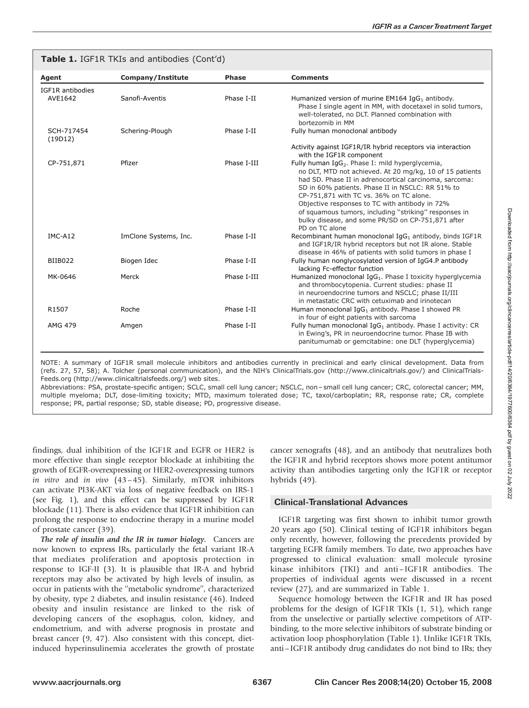# Table 1. IGF1R TKIs and antibodies (Cont'd)

| Agent                 | Company/Institute     | <b>Phase</b> | <b>Comments</b>                                                                                                                                                                                                                                                                                                                                                                                                                                                    |
|-----------------------|-----------------------|--------------|--------------------------------------------------------------------------------------------------------------------------------------------------------------------------------------------------------------------------------------------------------------------------------------------------------------------------------------------------------------------------------------------------------------------------------------------------------------------|
| IGF1R antibodies      |                       |              |                                                                                                                                                                                                                                                                                                                                                                                                                                                                    |
| AVE1642               | Sanofi-Aventis        | Phase I-II   | Humanized version of murine EM164 $IqG_1$ antibody.<br>Phase I single agent in MM, with docetaxel in solid tumors,<br>well-tolerated, no DLT. Planned combination with<br>bortezomib in MM                                                                                                                                                                                                                                                                         |
| SCH-717454<br>(19D12) | Schering-Plough       | Phase I-II   | Fully human monoclonal antibody                                                                                                                                                                                                                                                                                                                                                                                                                                    |
|                       |                       |              | Activity against IGF1R/IR hybrid receptors via interaction<br>with the IGF1R component                                                                                                                                                                                                                                                                                                                                                                             |
| CP-751,871            | Pfizer                | Phase I-III  | Fully human IgG <sub>2</sub> . Phase I: mild hyperglycemia,<br>no DLT, MTD not achieved. At 20 mg/kg, 10 of 15 patients<br>had SD. Phase II in adrenocortical carcinoma, sarcoma:<br>SD in 60% patients. Phase II in NSCLC: RR 51% to<br>CP-751,871 with TC vs. 36% on TC alone.<br>Objective responses to TC with antibody in 72%<br>of squamous tumors, including "striking" responses in<br>bulky disease, and some PR/SD on CP-751,871 after<br>PD on TC alone |
| IMC-A12               | ImClone Systems, Inc. | Phase I-II   | Recombinant human monoclonal IgG <sub>1</sub> antibody, binds IGF1R<br>and IGF1R/IR hybrid receptors but not IR alone. Stable<br>disease in 46% of patients with solid tumors in phase I                                                                                                                                                                                                                                                                           |
| BIIB022               | Biogen Idec           | Phase I-II   | Fully human nonglycosylated version of IgG4.P antibody<br>lacking Fc-effector function                                                                                                                                                                                                                                                                                                                                                                             |
| MK-0646               | Merck                 | Phase I-III  | Humanized monoclonal IgG <sub>1</sub> . Phase I toxicity hyperglycemia<br>and thrombocytopenia. Current studies: phase II<br>in neuroendocrine tumors and NSCLC; phase II/III<br>in metastatic CRC with cetuximab and irinotecan                                                                                                                                                                                                                                   |
| R1507                 | Roche                 | Phase I-II   | Human monoclonal IqG <sub>1</sub> antibody. Phase I showed PR<br>in four of eight patients with sarcoma                                                                                                                                                                                                                                                                                                                                                            |
| <b>AMG 479</b>        | Amgen                 | Phase I-II   | Fully human monoclonal IgG <sub>1</sub> antibody. Phase I activity: CR<br>in Ewing's, PR in neuroendocrine tumor. Phase IB with<br>panitumumab or gemcitabine: one DLT (hyperglycemia)                                                                                                                                                                                                                                                                             |

NOTE: A summary of IGF1R small molecule inhibitors and antibodies currently in preclinical and early clinical development. Data from (refs. 27, 57, 58); A. Tolcher (personal communication), and the NIH's ClinicalTrials.gov (http://www.clinicaltrials.gov/) and ClinicalTrials-Feeds.org (http://www.clinicaltrialsfeeds.org/) web sites.

Abbreviations: PSA, prostate-specific antigen; SCLC, small cell lung cancer; NSCLC, non – small cell lung cancer; CRC, colorectal cancer; MM, multiple myeloma; DLT, dose-limiting toxicity; MTD, maximum tolerated dose; TC, taxol/carboplatin; RR, response rate; CR, complete response; PR, partial response; SD, stable disease; PD, progressive disease.

findings, dual inhibition of the IGF1R and EGFR or HER2 is more effective than single receptor blockade at inhibiting the growth of EGFR-overexpressing or HER2-overexpressing tumors in vitro and in vivo  $(43-45)$ . Similarly, mTOR inhibitors can activate PI3K-AKT via loss of negative feedback on IRS-1 (see Fig. 1), and this effect can be suppressed by  $IGF1R$ blockade (11). There is also evidence that IGF1R inhibition can prolong the response to endocrine therapy in a murine model of prostate cancer (39).

The role of insulin and the IR in tumor biology. Cancers are now known to express IRs, particularly the fetal variant IR-A that mediates proliferation and apoptosis protection in response to IGF-II (3). It is plausible that IR-A and hybrid receptors may also be activated by high levels of insulin, as occur in patients with the "metabolic syndrome", characterized by obesity, type 2 diabetes, and insulin resistance (46). Indeed obesity and insulin resistance are linked to the risk of developing cancers of the esophagus, colon, kidney, and endometrium, and with adverse prognosis in prostate and breast cancer  $(9, 47)$ . Also consistent with this concept, dietinduced hyperinsulinemia accelerates the growth of prostate cancer xenografts (48), and an antibody that neutralizes both the IGF1R and hybrid receptors shows more potent antitumor activity than antibodies targeting only the IGF1R or receptor hybrids (49).

# Clinical-Translational Advances

IGF1R targeting was first shown to inhibit tumor growth 20 years ago (50). Clinical testing of IGF1R inhibitors began only recently, however, following the precedents provided by targeting EGFR family members. To date, two approaches have progressed to clinical evaluation: small molecule tyrosine kinase inhibitors (TKI) and anti – IGF1R antibodies. The properties of individual agents were discussed in a recent review (27), and are summarized in Table 1.

Sequence homology between the IGF1R and IR has posed problems for the design of IGF1R TKIs  $(1, 51)$ , which range from the unselective or partially selective competitors of ATPbinding, to the more selective inhibitors of substrate binding or activation loop phosphorylation (Table 1). Unlike IGF1R TKIs, anti – IGF1R antibody drug candidates do not bind to IRs; they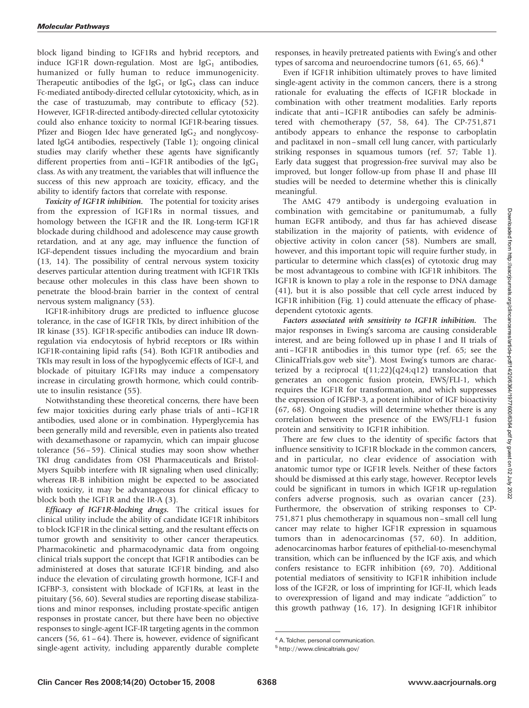block ligand binding to IGF1Rs and hybrid receptors, and induce IGF1R down-regulation. Most are  $IgG<sub>1</sub>$  antibodies, humanized or fully human to reduce immunogenicity. Therapeutic antibodies of the IgG<sub>1</sub> or IgG<sub>3</sub> class can induce Fc-mediated antibody-directed cellular cytotoxicity, which, as in the case of trastuzumab, may contribute to efficacy  $(52)$ . However, IGF1R-directed antibody-directed cellular cytotoxicity could also enhance toxicity to normal IGF1R-bearing tissues. Pfizer and Biogen Idec have generated  $\text{IgG}_2$  and nonglycosylated IgG4 antibodies, respectively (Table 1); ongoing clinical studies may clarify whether these agents have significantly different properties from anti–IGF1R antibodies of the  $\lg G_1$ class. As with any treatment, the variables that will influence the success of this new approach are toxicity, efficacy, and the ability to identify factors that correlate with response.

Toxicity of IGF1R inhibition. The potential for toxicity arises from the expression of IGF1Rs in normal tissues, and homology between the IGF1R and the IR. Long-term IGF1R blockade during childhood and adolescence may cause growth retardation, and at any age, may influence the function of IGF-dependent tissues including the myocardium and brain (13,14). The possibility of central nervous system toxicity deserves particular attention during treatment with IGF1R TKIs because other molecules in this class have been shown to penetrate the blood-brain barrier in the context of central nervous system malignancy (53).

IGF1R-inhibitory drugs are predicted to influence glucose tolerance, in the case of IGF1R TKIs, by direct inhibition of the IR kinase (35). IGF1R-specific antibodies can induce IR downregulation via endocytosis of hybrid receptors or IRs within IGF1R-containing lipid rafts (54). Both IGF1R antibodies and TKIs may result in loss of the hypoglycemic effects of IGF-I, and blockade of pituitary IGF1Rs may induce a compensatory increase in circulating growth hormone, which could contribute to insulin resistance (55).

Notwithstanding these theoretical concerns, there have been few major toxicities during early phase trials of anti – IGF1R antibodies, used alone or in combination. Hyperglycemia has been generally mild and reversible, even in patients also treated with dexamethasone or rapamycin, which can impair glucose tolerance (56– 59). Clinical studies may soon show whether TKI drug candidates from OSI Pharmaceuticals and Bristol-Myers Squibb interfere with IR signaling when used clinically; whereas IR-B inhibition might be expected to be associated with toxicity, it may be advantageous for clinical efficacy to block both the IGF1R and the IR-A (3).

Efficacy of IGF1R-blocking drugs. The critical issues for clinical utility include the ability of candidate IGF1R inhibitors to block IGF1R in the clinical setting, and the resultant effects on tumor growth and sensitivity to other cancer therapeutics. Pharmacokinetic and pharmacodynamic data from ongoing clinical trials support the concept that IGF1R antibodies can be administered at doses that saturate IGF1R binding, and also induce the elevation of circulating growth hormone, IGF-I and IGFBP-3, consistent with blockade of IGF1Rs, at least in the pituitary (56,60). Several studies are reporting disease stabilizations and minor responses, including prostate-specific antigen responses in prostate cancer, but there have been no objective responses to single-agent IGF-IR targeting agents in the common cancers (56,  $61 - 64$ ). There is, however, evidence of significant single-agent activity, including apparently durable complete

responses, in heavily pretreated patients with Ewing's and other types of sarcoma and neuroendocrine tumors  $(61, 65, 66)$ .<sup>4</sup>

Even if IGF1R inhibition ultimately proves to have limited single-agent activity in the common cancers, there is a strong rationale for evaluating the effects of IGF1R blockade in combination with other treatment modalities. Early reports indicate that anti– IGF1R antibodies can safely be administered with chemotherapy (57,58,64). The CP-751,871 antibody appears to enhance the response to carboplatin and paclitaxel in non-small cell lung cancer, with particularly striking responses in squamous tumors (ref. 57; Table 1). Early data suggest that progression-free survival may also be improved, but longer follow-up from phase II and phase III studies will be needed to determine whether this is clinically meaningful.

The AMG 479 antibody is undergoing evaluation in combination with gemcitabine or panitumumab, a fully human EGFR antibody, and thus far has achieved disease stabilization in the majority of patients, with evidence of objective activity in colon cancer (58). Numbers are small, however, and this important topic will require further study, in particular to determine which class(es) of cytotoxic drug may be most advantageous to combine with IGF1R inhibitors. The IGF1R is known to play a role in the response to DNA damage  $(41)$ , but it is also possible that cell cycle arrest induced by IGF1R inhibition (Fig. 1) could attenuate the efficacy of phasedependent cytotoxic agents.

Factors associated with sensitivity to IGF1R inhibition. The major responses in Ewing's sarcoma are causing considerable interest, and are being followed up in phase I and II trials of anti – IGF1R antibodies in this tumor type (ref. 65; see the ClinicalTrials.gov web site<sup>5</sup>). Most Ewing's tumors are characterized by a reciprocal  $t(11;22)(q24;q12)$  translocation that generates an oncogenic fusion protein, EWS/FLI-1, which requires the IGF1R for transformation, and which suppresses the expression of IGFBP-3, a potent inhibitor of IGF bioactivity (67,68). Ongoing studies will determine whether there is any correlation between the presence of the EWS/FLI-1 fusion protein and sensitivity to IGF1R inhibition.

There are few clues to the identity of specific factors that influence sensitivity to IGF1R blockade in the common cancers, and in particular, no clear evidence of association with anatomic tumor type or IGF1R levels. Neither of these factors should be dismissed at this early stage, however. Receptor levels could be significant in tumors in which IGF1R up-regulation confers adverse prognosis, such as ovarian cancer (23). Furthermore, the observation of striking responses to CP-751,871 plus chemotherapy in squamous non – small cell lung cancer may relate to higher IGF1R expression in squamous tumors than in adenocarcinomas (57,60). In addition, adenocarcinomas harbor features of epithelial-to-mesenchymal transition, which can be influenced by the IGF axis, and which confers resistance to EGFR inhibition (69,70). Additional potential mediators of sensitivity to IGF1R inhibition include loss of the IGF2R, or loss of imprinting for IGF-II, which leads to overexpression of ligand and may indicate ''addiction'' to this growth pathway (16,17). In designing IGF1R inhibitor

<sup>4</sup> A. Tolcher, personal communication.

<sup>5</sup> http://www.clinicaltrials.gov/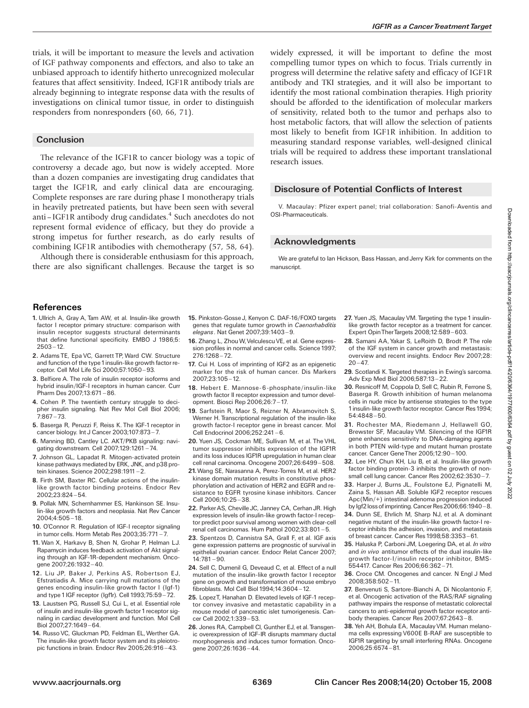trials, it will be important to measure the levels and activation of IGF pathway components and effectors, and also to take an unbiased approach to identify hitherto unrecognized molecular features that affect sensitivity. Indeed, IGF1R antibody trials are already beginning to integrate response data with the results of investigations on clinical tumor tissue, in order to distinguish responders from nonresponders (60, 66, 71).

#### Conclusion

The relevance of the IGF1R to cancer biology was a topic of controversy a decade ago, but now is widely accepted. More than a dozen companies are investigating drug candidates that target the IGF1R, and early clinical data are encouraging. Complete responses are rare during phase I monotherapy trials in heavily pretreated patients, but have been seen with several anti-IGF1R antibody drug candidates.<sup>4</sup> Such anecdotes do not represent formal evidence of efficacy, but they do provide a strong impetus for further research, as do early results of combining IGF1R antibodies with chemotherapy (57,58,64).

Although there is considerable enthusiasm for this approach, there are also significant challenges. Because the target is so

#### References

- 1. Ullrich A, Gray A, Tam AW, et al. Insulin-like growth factor I receptor primary structure: comparison with insulin receptor suggests structural determinants that define functional specificity. EMBO J 1986;5:  $2503 - 12.$
- 2. Adams TE, Epa VC, Garrett TP, Ward CW. Structure and function of the type 1insulin-like growth factor receptor. Cell Mol Life Sci 2000;57:1050 ^ 93.
- 3. Belfiore A. The role of insulin receptor isoforms and hybrid insulin/IGF-I receptors in human cancer. Curr Pharm Des 2007;13:671-86.
- 4. Cohen P. The twentieth century struggle to decipher insulin signaling. Nat Rev Mol Cell Biol 2006;  $7:867 - 73.$
- 5. Baserga R, Peruzzi F, Reiss K. The IGF-1 receptor in cancer biology. Int J Cancer 2003;107:873-7.
- 6. Manning BD, Cantley LC. AKT/PKB signaling: navigating downstream. Cell 2007;129:1261-74.
- 7. Johnson GL, Lapadat R. Mitogen-activated protein kinase pathways mediated by ERK, JNK, and p38 protein kinases. Science 2002;298:1911-2.
- 8. Firth SM, Baxter RC. Cellular actions of the insulinlike growth factor binding proteins. Endocr Rev 2002;23:824-54.
- 9. Pollak MN, Schernhammer ES, Hankinson SE. Insulin-like growth factors and neoplasia. Nat Rev Cancer  $2004.4.505 - 18$
- 10. O'Connor R. Regulation of IGF-I receptor signaling in tumor cells. Horm Metab Res  $2003;35:771 - 7$ .
- 11. Wan X, Harkavy B, Shen N, Grohar P, Helman LJ. Rapamycin induces feedback activation of Akt signaling through an IGF-1R-dependent mechanism. Oncogene 2007;26:1932-40.
- 12. Liu JP, Baker J, Perkins AS, Robertson EJ, Efstratiadis A. Mice carrying null mutations of the genes encoding insulin-like growth factor I (Igf-1) and type 1 IGF receptor (Igf1r). Cell 1993;75:59 - 72.
- 13. Laustsen PG, Russell SJ, Cui L, et al. Essential role of insulin and insulin-like growth factor 1 receptor signaling in cardiac development and function. Mol Cell Biol 2007;27:1649-64.
- 14. Russo VC, Gluckman PD, Feldman FL, Werther GA. The insulin-like growth factor system and its pleiotropic functions in brain. Endocr Rev 2005;26:916-43.
- 15. Pinkston-Gosse J, Kenyon C. DAF-16/FOXO targets genes that regulate tumor growth in Caenorhabditis elegans. Nat Genet 2007;39:1403-9.
- 16. Zhang L, ZhouW,VelculescuVE, et al. Gene expression profiles in normal and cancer cells. Science 1997; 276:1268 ^ 72.
- 17. Cui H. Loss of imprinting of IGF2 as an epigenetic marker for the risk of human cancer. Dis Markers 2007;23:105 ^ 12.
- 18. Hebert E. Mannose-6-phosphate/insulin-like growth factor II receptor expression and tumor development. Biosci Rep 2006;26:7 ^ 17.
- 19. Sarfstein R, Maor S, Reizner N, Abramovitch S, Werner H. Transcriptional regulation of the insulin-like growth factor-I receptor gene in breast cancer. Mol Cell Endocrinol 2006:252:241-6.
- 20. Yuen JS, Cockman ME, Sullivan M, et al. The VHL tumor suppressor inhibits expression of the IGF1R and its loss induces IGF1R upregulation in human clear cell renal carcinoma. Oncogene 2007:26:6499-508.
- 21.Wang SE, Narasanna A, Perez-Torres M, et al. HER2 kinase domain mutation results in constitutive phosphorylation and activation of HER2 and EGFR and resistance to EGFR tyrosine kinase inhibitors. Cancer Cell 2006;10:25 - 38.
- 22. Parker AS, Cheville JC, Janney CA, Cerhan JR. High expression levels of insulin-like growth factor-I receptor predict poor survival among women with clear-cell renal cell carcinomas. Hum Pathol  $2002:33:801 - 5$ .
- 23. Spentzos D, Cannistra SA, Grall F, et al. IGF axis gene expression patterns are prognostic of survival in epithelial ovarian cancer. Endocr Relat Cancer 2007;  $14:781 - 90.$
- 24. Sell C, Dumenil G, Deveaud C, et al. Effect of a null mutation of the insulin-like growth factor I receptor gene on growth and transformation of mouse embryo fibroblasts. Mol Cell Biol 1994;14:3604 ^ 12.
- 25. LopezT, Hanahan D. Elevated levels of IGF-1 receptor convey invasive and metastatic capability in a mouse model of pancreatic islet tumorigenesis. Cancer Cell 2002:1:339-53.
- 26. Jones RA, Campbell Cl, Gunther EJ, et al. Transgenic overexpression of IGF-IR disrupts mammary ductal morphogenesis and induces tumor formation. Oncogene 2007;26:1636-44.

widely expressed, it will be important to define the most compelling tumor types on which to focus. Trials currently in progress will determine the relative safety and efficacy of IGF1R antibody and TKI strategies, and it will also be important to identify the most rational combination therapies. High priority should be afforded to the identification of molecular markers of sensitivity, related both to the tumor and perhaps also to host metabolic factors, that will allow the selection of patients most likely to benefit from IGF1R inhibition. In addition to measuring standard response variables, well-designed clinical trials will be required to address these important translational research issues.

# Disclosure of Potential Conflicts of Interest

V. Macaulay: Pfizer expert panel; trial collaboration: Sanofi-Aventis and OSI-Pharmaceuticals.

#### Acknowledgments

We are grateful to Ian Hickson, Bass Hassan, and Jerry Kirk for comments on the manuscript.

- 27. Yuen JS, Macaulay VM. Targeting the type 1 insulinlike growth factor receptor as a treatment for cancer. Expert Opin Ther Targets 2008;12:589-603.
- 28. Samani AA, Yakar S, LeRoith D, Brodt P. The role of the IGF system in cancer growth and metastasis: overview and recent insights. Endocr Rev 2007;28:  $20 - 47.$
- 29. Scotlandi K. Targeted therapies in Ewing's sarcoma. Adv Exp Med Biol 2006;587:13-22.
- 30. Resnicoff M, Coppola D, Sell C, Rubin R, Ferrone S, Baserga R. Growth inhibition of human melanoma cells in nude mice by antisense strategies to the type 1insulin-like growth factor receptor. Cancer Res 1994; 54:4848-50.
- 31. Rochester MA, Riedemann J, Hellawell GO, Brewster SF, Macaulay VM. Silencing of the IGF1R gene enhances sensitivity to DNA-damaging agents in both PTEN wild-type and mutant human prostate cancer. Cancer GeneTher 2005:12:90-100.
- 32. Lee HY, Chun KH, Liu B, et al. Insulin-like growth factor binding protein-3 inhibits the growth of nonsmall cell lung cancer. Cancer Res 2002;62:3530-7.
- 33. Harper J, Burns JL, Foulstone EJ, Pignatelli M, Zaina S, Hassan AB. Soluble IGF2 receptor rescues Apc(Min/+) intestinal adenoma progression induced by Igf2 loss of imprinting. Cancer Res 2006;66:1940 - 8.
- 34. Dunn SE, Ehrlich M, Sharp NJ, et al. A dominant negative mutant of the insulin-like growth factor-I receptor inhibits the adhesion, invasion, and metastasis of breast cancer. Cancer Res 1998;58:3353 ^ 61.
- 35. Haluska P, Carboni JM, Loegering DA, et al. In vitro and in vivo antitumor effects of the dual insulin-like growth factor-I/insulin receptor inhibitor, BMS-554417. Cancer Res 2006;66:362 ^ 71.
- 36. Croce CM. Oncogenes and cancer. N Engl J Med 2008;358:502 ^ 11.
- 37. Benvenuti S, Sartore-Bianchi A, Di Nicolantonio F, et al. Oncogenic activation of the RAS/RAF signaling pathway impairs the response of metastatic colorectal cancers to anti-epidermal growth factor receptor antibody therapies. Cancer Res 2007;67:2643-8.
- 38. Yeh AH, Bohula EA, Macaulay VM. Human melanoma cells expressing V600E B-RAF are susceptible to IGF1R targeting by small interfering RNAs. Oncogene 2006;25:6574 ^ 81.